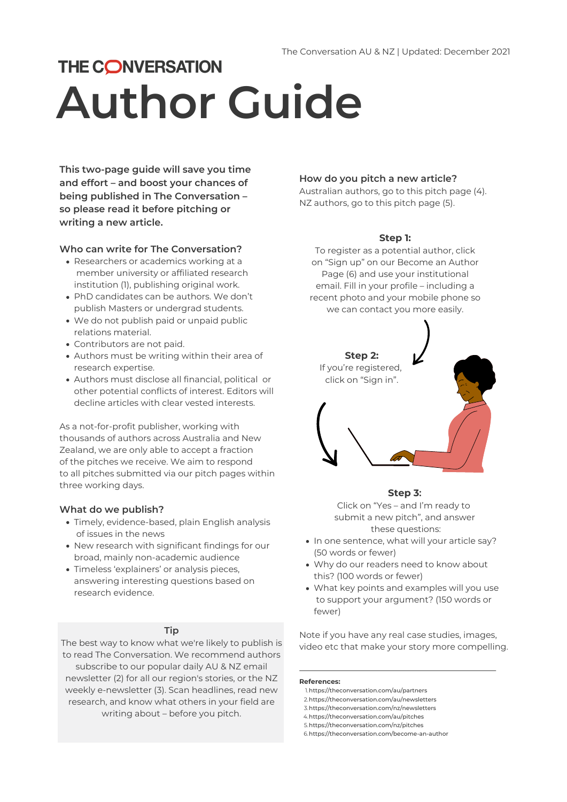

# **THE CONVERSATION Author Guide**

### **Step 1:**

To register as a potential author, click on "Sign up" on our Become an Author Page (6) and use your institutional email. Fill in your profile – including a recent photo and your mobile phone so we can contact you more easily.

## **How do you pitch a new article?**

Australian authors, go to this [pitch](https://theconversation.com/au/pitches) page (4). NZ authors, go to this [pitch](https://theconversation.com/nz/pitches) page (5).

- Researchers or academics working at a member university or affiliated research institution (1), [publishing](https://theconversation.com/au/partners) original work.
- PhD candidates can be authors. We don't publish Masters or undergrad students.
- We do not publish paid or unpaid public relations material.
- Contributors are not paid.
- Authors must be writing within their area of research expertise.
- Authors must disclose all financial, political or other potential conflicts of interest. Editors will decline articles with clear vested interests.

- Timely, evidence-based, plain English analysis of issues in the news
- New research with significant findings for our broad, mainly [non-academic](https://theconversation.com/au/audience) audience
- Timeless '[explainers'](https://theconversation.com/au/topics/explainer-653) or analysis pieces, answering interesting questions based on research evidence.
- In one sentence, what will your article say? (50 words or fewer)
- Why do our readers need to know about this? (100 words or fewer)
- What key points and examples will you use to support your argument? (150 words or fewer)

https://theconversation.com/au/partners 1. https://theconversation.com/au/newsletters 2. https://theconversation.com/nz/newsletters 3. https://theconversation.com/au/pitches 4. https://theconversation.com/nz/pitches 5. 6. https://theconversation.com/become-an-author

**This two-page guide will save you time and effort – and boost your chances of being published in The [Conversation](https://theconversation.com/au) – so please read it before pitching or writing a new article.**

### **Who can write for The Conversation?**

As a not-for-profit publisher, working with thousands of authors across Australia and New Zealand, we are only able to accept a fraction of the pitches we receive. We aim to respond to all pitches submitted via our pitch pages within three working days.

### **What do we publish?**

### **Tip**

The best way to know what we're likely to publish is to read The Conversation. We recommend authors subscribe to our popular daily AU & NZ email [newsletter](https://theconversation.com/au/newsletters/the-daily-newsletter-1) (2) for all our region's stories, or the NZ weekly [e-newsletter](https://theconversation.com/nz/newsletter) (3). Scan headlines, read new research, and know what others in your field are writing about – before you pitch.



### **Step 3:**

Click on "Yes – and I'm ready to submit a new pitch" , and answer these questions:

Note if you have any real case studies, images, video etc that make your story more compelling.

### **References:**